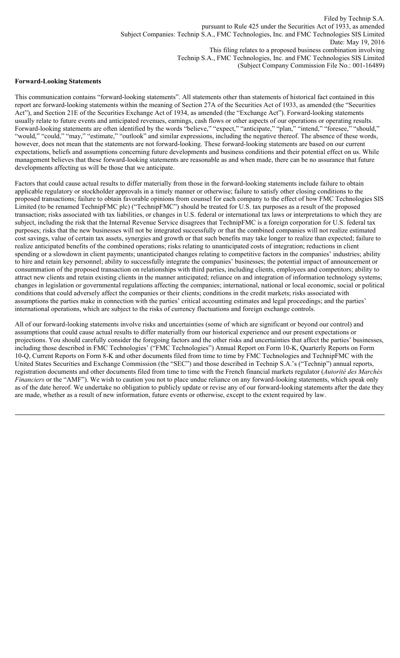Filed by Technip S.A. pursuant to Rule 425 under the Securities Act of 1933, as amended Subject Companies: Technip S.A., FMC Technologies, Inc. and FMC Technologies SIS Limited Date: May 19, 2016 This filing relates to a proposed business combination involving Technip S.A., FMC Technologies, Inc. and FMC Technologies SIS Limited (Subject Company Commission File No.: 001-16489)

## **Forward-Looking Statements**

This communication contains "forward-looking statements". All statements other than statements of historical fact contained in this report are forward-looking statements within the meaning of Section 27A of the Securities Act of 1933, as amended (the "Securities Act"), and Section 21E of the Securities Exchange Act of 1934, as amended (the "Exchange Act"). Forward-looking statements usually relate to future events and anticipated revenues, earnings, cash flows or other aspects of our operations or operating results. Forward-looking statements are often identified by the words "believe," "expect," "anticipate," "plan," "intend," "foresee," "should," "would," "could," "may," "estimate," "outlook" and similar expressions, including the negative thereof. The absence of these words, however, does not mean that the statements are not forward-looking. These forward-looking statements are based on our current expectations, beliefs and assumptions concerning future developments and business conditions and their potential effect on us. While management believes that these forward-looking statements are reasonable as and when made, there can be no assurance that future developments affecting us will be those that we anticipate.

Factors that could cause actual results to differ materially from those in the forward-looking statements include failure to obtain applicable regulatory or stockholder approvals in a timely manner or otherwise; failure to satisfy other closing conditions to the proposed transactions; failure to obtain favorable opinions from counsel for each company to the effect of how FMC Technologies SIS Limited (to be renamed TechnipFMC plc) ("TechnipFMC") should be treated for U.S. tax purposes as a result of the proposed transaction; risks associated with tax liabilities, or changes in U.S. federal or international tax laws or interpretations to which they are subject, including the risk that the Internal Revenue Service disagrees that TechnipFMC is a foreign corporation for U.S. federal tax purposes; risks that the new businesses will not be integrated successfully or that the combined companies will not realize estimated cost savings, value of certain tax assets, synergies and growth or that such benefits may take longer to realize than expected; failure to realize anticipated benefits of the combined operations; risks relating to unanticipated costs of integration; reductions in client spending or a slowdown in client payments; unanticipated changes relating to competitive factors in the companies' industries; ability to hire and retain key personnel; ability to successfully integrate the companies' businesses; the potential impact of announcement or consummation of the proposed transaction on relationships with third parties, including clients, employees and competitors; ability to attract new clients and retain existing clients in the manner anticipated; reliance on and integration of information technology systems; changes in legislation or governmental regulations affecting the companies; international, national or local economic, social or political conditions that could adversely affect the companies or their clients; conditions in the credit markets; risks associated with assumptions the parties make in connection with the parties' critical accounting estimates and legal proceedings; and the parties' international operations, which are subject to the risks of currency fluctuations and foreign exchange controls.

All of our forward-looking statements involve risks and uncertainties (some of which are significant or beyond our control) and assumptions that could cause actual results to differ materially from our historical experience and our present expectations or projections. You should carefully consider the foregoing factors and the other risks and uncertainties that affect the parties' businesses, including those described in FMC Technologies' ("FMC Technologies") Annual Report on Form 10-K, Quarterly Reports on Form 10-Q, Current Reports on Form 8-K and other documents filed from time to time by FMC Technologies and TechnipFMC with the United States Securities and Exchange Commission (the "SEC") and those described in Technip S.A.'s ("Technip") annual reports, registration documents and other documents filed from time to time with the French financial markets regulator (*Autorité des Marchés Financiers* or the "AMF"). We wish to caution you not to place undue reliance on any forward-looking statements, which speak only as of the date hereof. We undertake no obligation to publicly update or revise any of our forward-looking statements after the date they are made, whether as a result of new information, future events or otherwise, except to the extent required by law.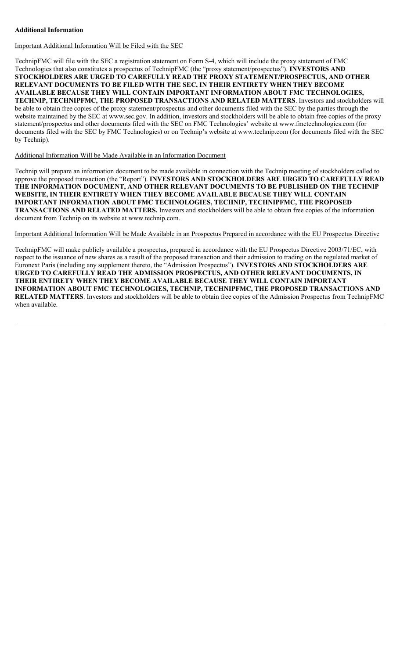## **Additional Information**

Important Additional Information Will be Filed with the SEC

TechnipFMC will file with the SEC a registration statement on Form S-4, which will include the proxy statement of FMC Technologies that also constitutes a prospectus of TechnipFMC (the "proxy statement/prospectus"). **INVESTORS AND STOCKHOLDERS ARE URGED TO CAREFULLY READ THE PROXY STATEMENT/PROSPECTUS, AND OTHER RELEVANT DOCUMENTS TO BE FILED WITH THE SEC, IN THEIR ENTIRETY WHEN THEY BECOME AVAILABLE BECAUSE THEY WILL CONTAIN IMPORTANT INFORMATION ABOUT FMC TECHNOLOGIES, TECHNIP, TECHNIPFMC, THE PROPOSED TRANSACTIONS AND RELATED MATTERS**. Investors and stockholders will be able to obtain free copies of the proxy statement/prospectus and other documents filed with the SEC by the parties through the website maintained by the SEC at www.sec.gov. In addition, investors and stockholders will be able to obtain free copies of the proxy statement/prospectus and other documents filed with the SEC on FMC Technologies' website at www.fmctechnologies.com (for documents filed with the SEC by FMC Technologies) or on Technip's website at www.technip.com (for documents filed with the SEC by Technip).

Additional Information Will be Made Available in an Information Document

Technip will prepare an information document to be made available in connection with the Technip meeting of stockholders called to approve the proposed transaction (the "Report"). **INVESTORS AND STOCKHOLDERS ARE URGED TO CAREFULLY READ THE INFORMATION DOCUMENT, AND OTHER RELEVANT DOCUMENTS TO BE PUBLISHED ON THE TECHNIP WEBSITE, IN THEIR ENTIRETY WHEN THEY BECOME AVAILABLE BECAUSE THEY WILL CONTAIN IMPORTANT INFORMATION ABOUT FMC TECHNOLOGIES, TECHNIP, TECHNIPFMC, THE PROPOSED TRANSACTIONS AND RELATED MATTERS.** Investors and stockholders will be able to obtain free copies of the information document from Technip on its website at www.technip.com.

Important Additional Information Will be Made Available in an Prospectus Prepared in accordance with the EU Prospectus Directive

TechnipFMC will make publicly available a prospectus, prepared in accordance with the EU Prospectus Directive 2003/71/EC, with respect to the issuance of new shares as a result of the proposed transaction and their admission to trading on the regulated market of Euronext Paris (including any supplement thereto, the "Admission Prospectus"). **INVESTORS AND STOCKHOLDERS ARE URGED TO CAREFULLY READ THE ADMISSION PROSPECTUS, AND OTHER RELEVANT DOCUMENTS, IN THEIR ENTIRETY WHEN THEY BECOME AVAILABLE BECAUSE THEY WILL CONTAIN IMPORTANT INFORMATION ABOUT FMC TECHNOLOGIES, TECHNIP, TECHNIPFMC, THE PROPOSED TRANSACTIONS AND RELATED MATTERS**. Investors and stockholders will be able to obtain free copies of the Admission Prospectus from TechnipFMC when available.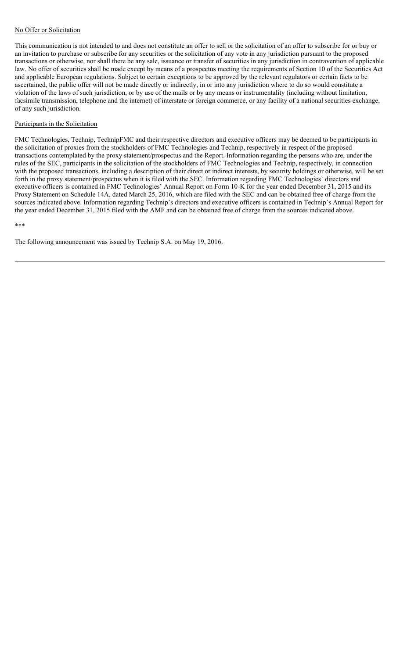## No Offer or Solicitation

This communication is not intended to and does not constitute an offer to sell or the solicitation of an offer to subscribe for or buy or an invitation to purchase or subscribe for any securities or the solicitation of any vote in any jurisdiction pursuant to the proposed transactions or otherwise, nor shall there be any sale, issuance or transfer of securities in any jurisdiction in contravention of applicable law. No offer of securities shall be made except by means of a prospectus meeting the requirements of Section 10 of the Securities Act and applicable European regulations. Subject to certain exceptions to be approved by the relevant regulators or certain facts to be ascertained, the public offer will not be made directly or indirectly, in or into any jurisdiction where to do so would constitute a violation of the laws of such jurisdiction, or by use of the mails or by any means or instrumentality (including without limitation, facsimile transmission, telephone and the internet) of interstate or foreign commerce, or any facility of a national securities exchange, of any such jurisdiction.

## Participants in the Solicitation

FMC Technologies, Technip, TechnipFMC and their respective directors and executive officers may be deemed to be participants in the solicitation of proxies from the stockholders of FMC Technologies and Technip, respectively in respect of the proposed transactions contemplated by the proxy statement/prospectus and the Report. Information regarding the persons who are, under the rules of the SEC, participants in the solicitation of the stockholders of FMC Technologies and Technip, respectively, in connection with the proposed transactions, including a description of their direct or indirect interests, by security holdings or otherwise, will be set forth in the proxy statement/prospectus when it is filed with the SEC. Information regarding FMC Technologies' directors and executive officers is contained in FMC Technologies' Annual Report on Form 10-K for the year ended December 31, 2015 and its Proxy Statement on Schedule 14A, dated March 25, 2016, which are filed with the SEC and can be obtained free of charge from the sources indicated above. Information regarding Technip's directors and executive officers is contained in Technip's Annual Report for the year ended December 31, 2015 filed with the AMF and can be obtained free of charge from the sources indicated above.

\*\*\*

The following announcement was issued by Technip S.A. on May 19, 2016.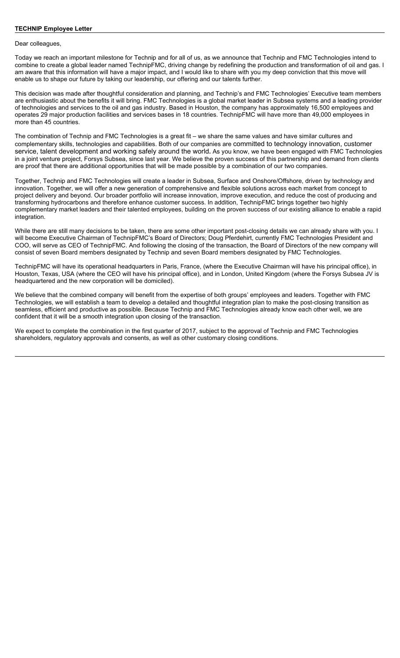Dear colleagues,

Today we reach an important milestone for Technip and for all of us, as we announce that Technip and FMC Technologies intend to combine to create a global leader named TechnipFMC, driving change by redefining the production and transformation of oil and gas. I am aware that this information will have a major impact, and I would like to share with you my deep conviction that this move will enable us to shape our future by taking our leadership, our offering and our talents further.

This decision was made after thoughtful consideration and planning, and Technip's and FMC Technologies' Executive team members are enthusiastic about the benefits it will bring. FMC Technologies is a global market leader in Subsea systems and a leading provider of technologies and services to the oil and gas industry. Based in Houston, the company has approximately 16,500 employees and operates 29 major production facilities and services bases in 18 countries. TechnipFMC will have more than 49,000 employees in more than 45 countries.

The combination of Technip and FMC Technologies is a great fit – we share the same values and have similar cultures and complementary skills, technologies and capabilities. Both of our companies are committed to technology innovation, customer service, talent development and working safely around the world**.** As you know, we have been engaged with FMC Technologies in a joint venture project, Forsys Subsea, since last year. We believe the proven success of this partnership and demand from clients are proof that there are additional opportunities that will be made possible by a combination of our two companies.

Together, Technip and FMC Technologies will create a leader in Subsea, Surface and Onshore/Offshore, driven by technology and innovation. Together, we will offer a new generation of comprehensive and flexible solutions across each market from concept to project delivery and beyond. Our broader portfolio will increase innovation, improve execution, and reduce the cost of producing and transforming hydrocarbons and therefore enhance customer success. In addition, TechnipFMC brings together two highly complementary market leaders and their talented employees, building on the proven success of our existing alliance to enable a rapid integration.

While there are still many decisions to be taken, there are some other important post-closing details we can already share with you. I will become Executive Chairman of TechnipFMC's Board of Directors; Doug Pferdehirt, currently FMC Technologies President and COO, will serve as CEO of TechnipFMC. And following the closing of the transaction, the Board of Directors of the new company will consist of seven Board members designated by Technip and seven Board members designated by FMC Technologies.

TechnipFMC will have its operational headquarters in Paris, France, (where the Executive Chairman will have his principal office), in Houston, Texas, USA (where the CEO will have his principal office), and in London, United Kingdom (where the Forsys Subsea JV is headquartered and the new corporation will be domiciled).

We believe that the combined company will benefit from the expertise of both groups' employees and leaders. Together with FMC Technologies, we will establish a team to develop a detailed and thoughtful integration plan to make the post-closing transition as seamless, efficient and productive as possible. Because Technip and FMC Technologies already know each other well, we are confident that it will be a smooth integration upon closing of the transaction.

We expect to complete the combination in the first quarter of 2017, subject to the approval of Technip and FMC Technologies shareholders, regulatory approvals and consents, as well as other customary closing conditions.